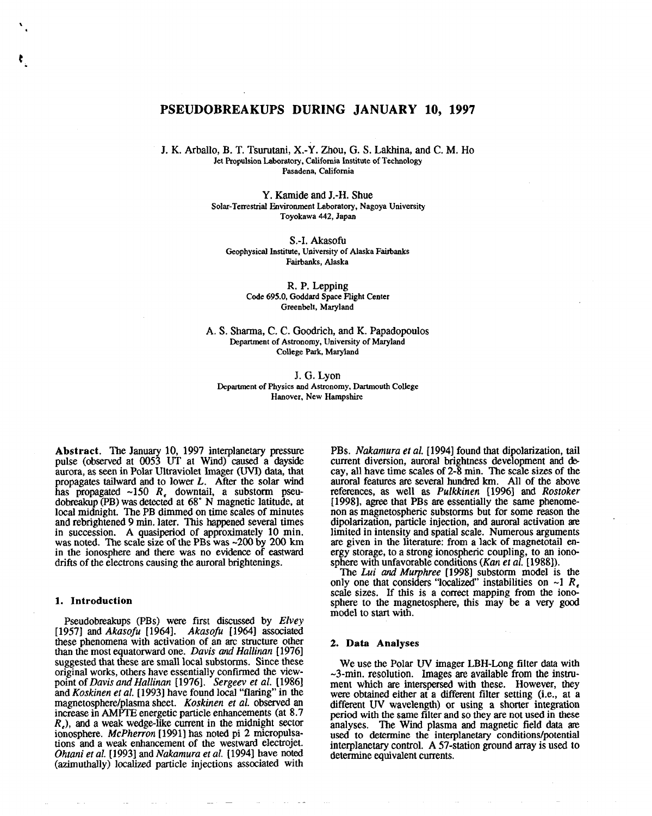# **PSEUDOBREAKUPS DURING JANUARY 10, 1997**

J. K. Arballo, B. T. Tsurutani, X.-Y. Zhou, G. S. Lakhina, and C. M. Ho Jet Propulsion Laboratory, California Institute of Technology Pasadena, California

> Y. Kamide and J.-H. Shue Solar-Terrestrial Environment Laboratory, Nagoya University Toyokawa442,Japan

S.-I. Akasofu Geophysical Institute, University of Alaska Fairbanks Fairbanks, Alaska

> R, P. Lepping Code 695.0, Goddard Space Flight Center Greenbelt, Maryland

A. S. Sharma, C. C. Goodrich, and K. Papadopoulos Department of Astronomy, University of Maryland College Park, Maryland

J. G. Lyon Department of Physics and Astronomy, Dartmouth College Hanover, New Hampshire

**Abstract.** The January 10, 1997 interplanetary pressure pulse (observed at 0053 UT at Wind) caused a dayside aurora, as seen in Polar Ultraviolet Imager (UVI) data, that propagates tailward and to lower *L. After the* solar wind has propagated -150 *R,* downtail, a substorm pseudobreakup (PB) was detected at 68" N magnetic latitude, at local midnight. The PB dimmed on time scales of minutes and rebrightened 9 min. later. This happened several times in succession. A quasiperiod of approximately 10 min. was noted. The scale size of the PBs was -200 by 200 km in the ionosphere and there was no evidence of eastward drifts of the electrons causing the auroral brightenings.

#### **1. Introduction**

t .

> Pseudobreakups (PBs) were first discussed by *Elvey* [1957] and *Akasofu [1964]. Akasojiz [1964]* associated these phenomena with activation of an arc structure other than the most equatorward one. *Davis and Hallinan [1976]* suggested that these are small local substorms. Since these originaJ works, others have essentially confined the viewpoint of *Davis and Hallinan [1976]. Sergeev et al. [19861* and *Koskinen et al. [1993]* have found local "flaring" in the magnetosphere/plasma sheet. *Koskinen et al.* observed an increase in AMPTE energetic particle enhancements (at 8.7  $R<sub>e</sub>$ ), and a weak wedge-like current in the midnight sector ionosphere. *McPherron [1991]* has noted pi **2** micropulsations and a weak enhancement of the westward electrojet. *Ohtani et al. [1993]* and *Nakamura et al. [1994] have* noted (azimuthally) localized particle injections associated with

PBs. *Nakamura et al.* [1994] found that dipolarization, tail current diversion, auroral brightness development and @ cay, all have time scales of 2-8 min. The scale sizes of the auroral features are several hundred km. All of **the** above references, as well as *Pdkkinen [1996]* and *Rosfoker [1998],* agree that PBs are essentially the same phenomenon as magnetospheric substorms but for some reason the dipolarization, particle injection, and auroral activation are limited in intensity and spatial scale, Numerous arguments are given in the literature: from a lack of magnetotail energy storage, to a strong ionospheric coupling, to an ionosphere with unfavorable conditions *(Kan* et al. [19881).

The *Lui and Mwphree [1998]* substorm model is the only one that considers "localized" instabilities on  $\sim$ 1 *R*<sub> $\epsilon$ </sub> scale sizes. If this is a correct mapping from the ionosphere to the magnetosphere, this may be a very good model to start with.

#### **2. Data Analyses**

We use the Polar UV imager LBH-Long filter data with  $\sim$ 3-min. resolution. Images are available from the instrument which are interspersed with these. However, they were obtained either at a different filter setting (i.e., at a different UV wavelength) or using a shorter integration period with the same filter and so they are not used in these analyses. The Wind plasma and magnetic field data are used to determine the interplanetary conditions/potential interplanetary control. A 57-station ground array is used to determine equivalent currents.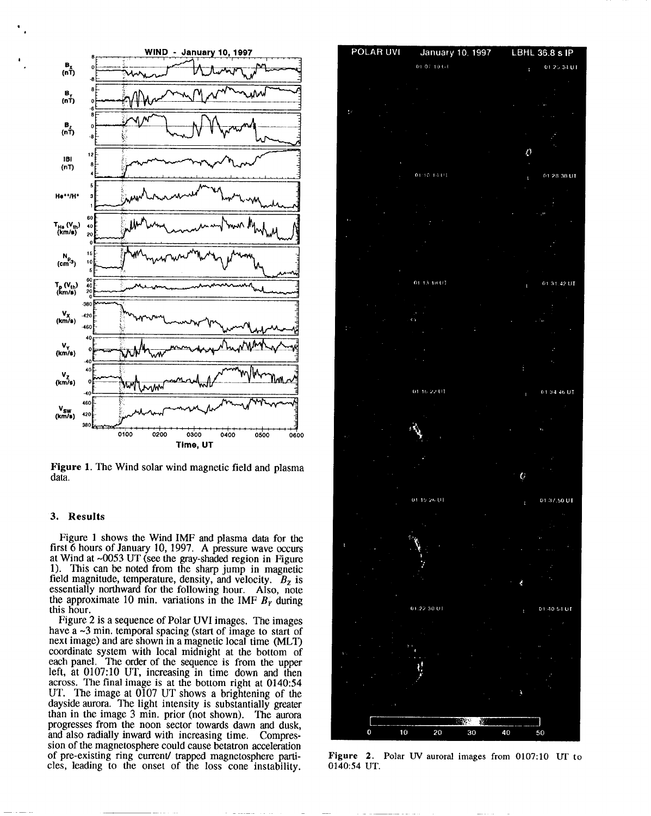

Figure 1. The Wind solar wind magnetic field and plasma data.

### **3. Results**

,

Figure 1 shows the Wind IMF and plasma data for the first 6 hours of January 10, 1997. A pressure wave occurs at Wind at  $\sim 0053$  UT (see the gray-shaded region in Figure 1). This can be noted from the sharp jump in magnetic field magnitude, temperature, density, and velocity.  $B_z$  is essentially northward for the following hour. Also, note the approximate 10 min. variations in the IMF  $B<sub>y</sub>$  during this hour.

Figure 2 is a sequence of Polar UVI images. The images have a  $\sim$ 3 min. temporal spacing (start of image to start of next image) and are shown in a magnetic local time (MLT) coordinate system with local midnight at the bottom of each panel, The order of the sequence is from the upper left, at 0107:10 UT, increasing in time down and then across. The final image is at the bottom right at 0140:54 UT. The image at  $0107$  UT shows a brightening of the dayside aurora. The light intensity is substantially greater than in the image 3 min. prior (not shown). The aurora progresses from the noon sector towards dawn and dusk, and also radially inward with increasing time, Compression of the magnetosphere could cause betatron acceleration of pre-existing ring current/ trapped magnetosphere particles, leading to the onset of the loss cone instability.



Figure 2. Polar UV auroral images from 0107:10 UT to 0140:54 UT.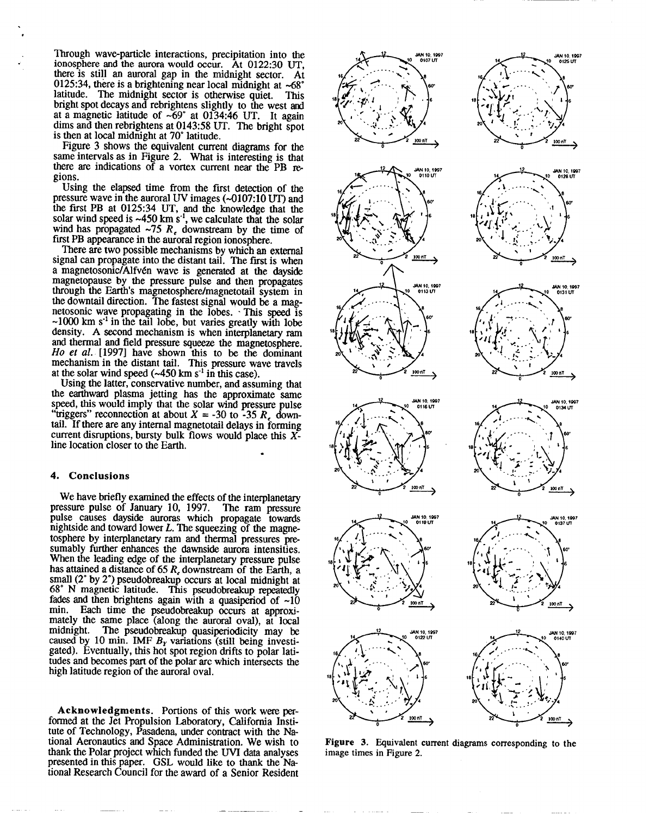Through wave-particle interactions, precipitation into the ionosphere and the aurora would occur. At 0122:30 UT, there is still an auroral gap in the midnight sector. At 0125:34, there is a brightening near local midnight at  $~58^\circ$ latitude. The midnight sector is otherwise quiet. This bright spot decays and rebrightens slightly to the west and at a magnetic latitude of -69" at 0134:46 UT. It again dims and then rebrightens at 0143:58 UT. The bright spot is then at local midnight at 70° latitude.

Figure 3 shows the equivalent current diagrams for the same intervals as in Figure 2. What is interesting is that there are indications of a vortex current near the PB regions.

Using the elapsed time from the first detection of the pressure wave in the auroral UV images  $(-0107:10 \text{ UT})$  and the first PB at 0125:34 UT, and the knowledge that the solar wind speed is  $\sim$ 450 km s<sup>-1</sup>, we calculate that the solar wind has propagated  $\sim$ 75 *R*<sub> $\epsilon$ </sub> downstream by the time of first PB appearance in the auroral region ionosphere.

There are two possible mechanisms by which an external signal can propagate into the distant tail. The first is when a magnetosonic/Alfvén wave is generated at the dayside magnetopause by the pressure pulse and then propagates through the Earth's magnetosphere/magnetotail system in the downtail direction. The fastest signal would be a magnetosonic wave propagating in the lobes. ' This speed is  $\sim$ 1000 km s<sup>-1</sup> in the tail lobe, but varies greatly with lobe density, A second mechanism is when interplanetary ram and thermal and field pressure squeeze the magnetosphere. Ho *et al. [1997]* have shown this to be the dominant mechanism in the distant tail. This pressure wave travels at the solar wind speed  $(-450 \text{ km s}^{-1})$  in this case).

Using the latter, conservative number, and assuming that the earthward plasma jetting has the approximate same speed, this would imply that the solar wind pressure pulse 'triggers'' reconnection at about  $X = -30$  to  $-35 R$ , downtail. If there are any internal magnetotail delays in forming current disruptions, bursty bulk flows would place this Xline location closer to the Earth. .

### 4. **Conclusions**

.

We have briefly examined the effects of the interplanetary essure pulse of January 10, 1997. The ram pressure pressure pulse of January 10, 1997. pulse causes dayside auroras which propagate towards nightside and toward lower *L. The* squeezing of the magnetosphere by interplanetary ram and thermal pressures presumably further enhances the dawnside aurora intensities. When the leading edge of the interplanetary pressure pulse has attained a distance of 65 *R,* downstream of the Earth, a small (2" by 2") pseudobreakup occurs at local midnight at 68° N magnetic latitude. This pseudobreakup repeatedly fades and then brightens again with a quasiperiod of  $\sim 10$ min. Each time the pseudobreakup occurs at approximately the same place (along the auroral oval), at local midnight. The pseudobreakup quasiperiodicity may be The pseudobreakup quasiperiodicity may be caused by 10 min. IMF  $B<sub>y</sub>$  variations (still being investigated). Eventually, this hot spot region drifts to polar latitudes and becomes part of the polar arc which intersects the high latitude region of the auroral oval,

**Acknowledgments.** Portions of this work were performed at the Jet Propulsion Laboratory, California Institute of Technology, Pasadena, under contract with the National Aeronautics and Space Administration, We wish to thank the Polar project which fimded the WI data analyses presented in this paper. GSL would tike to thank the National Research Council for the award of a Senior Resident



**Figure 3.** Equivalent current diagrams corresponding to the image times in Figure 2.